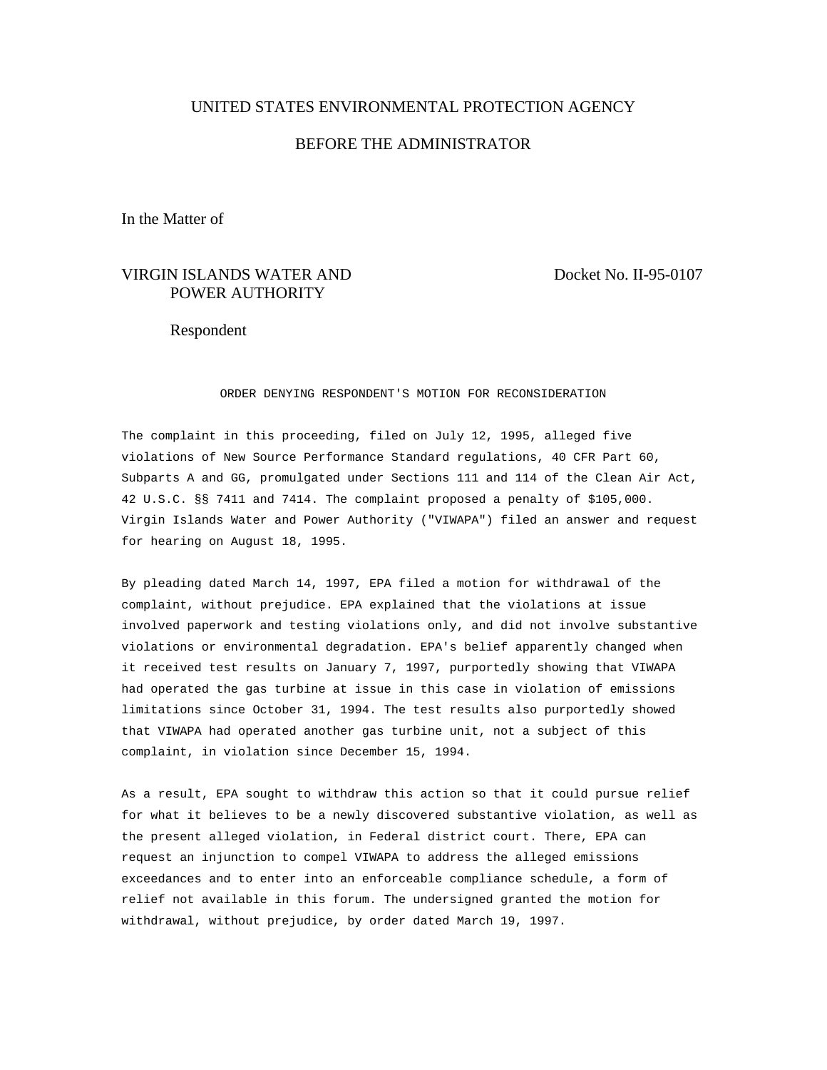## UNITED STATES ENVIRONMENTAL PROTECTION AGENCY

## BEFORE THE ADMINISTRATOR

In the Matter of

# VIRGIN ISLANDS WATER AND Docket No. II-95-0107 POWER AUTHORITY

Respondent

ORDER DENYING RESPONDENT'S MOTION FOR RECONSIDERATION

The complaint in this proceeding, filed on July 12, 1995, alleged five violations of New Source Performance Standard regulations, 40 CFR Part 60, Subparts A and GG, promulgated under Sections 111 and 114 of the Clean Air Act, 42 U.S.C. §§ 7411 and 7414. The complaint proposed a penalty of \$105,000. Virgin Islands Water and Power Authority ("VIWAPA") filed an answer and request for hearing on August 18, 1995.

By pleading dated March 14, 1997, EPA filed a motion for withdrawal of the complaint, without prejudice. EPA explained that the violations at issue involved paperwork and testing violations only, and did not involve substantive violations or environmental degradation. EPA's belief apparently changed when it received test results on January 7, 1997, purportedly showing that VIWAPA had operated the gas turbine at issue in this case in violation of emissions limitations since October 31, 1994. The test results also purportedly showed that VIWAPA had operated another gas turbine unit, not a subject of this complaint, in violation since December 15, 1994.

As a result, EPA sought to withdraw this action so that it could pursue relief for what it believes to be a newly discovered substantive violation, as well as the present alleged violation, in Federal district court. There, EPA can request an injunction to compel VIWAPA to address the alleged emissions exceedances and to enter into an enforceable compliance schedule, a form of relief not available in this forum. The undersigned granted the motion for withdrawal, without prejudice, by order dated March 19, 1997.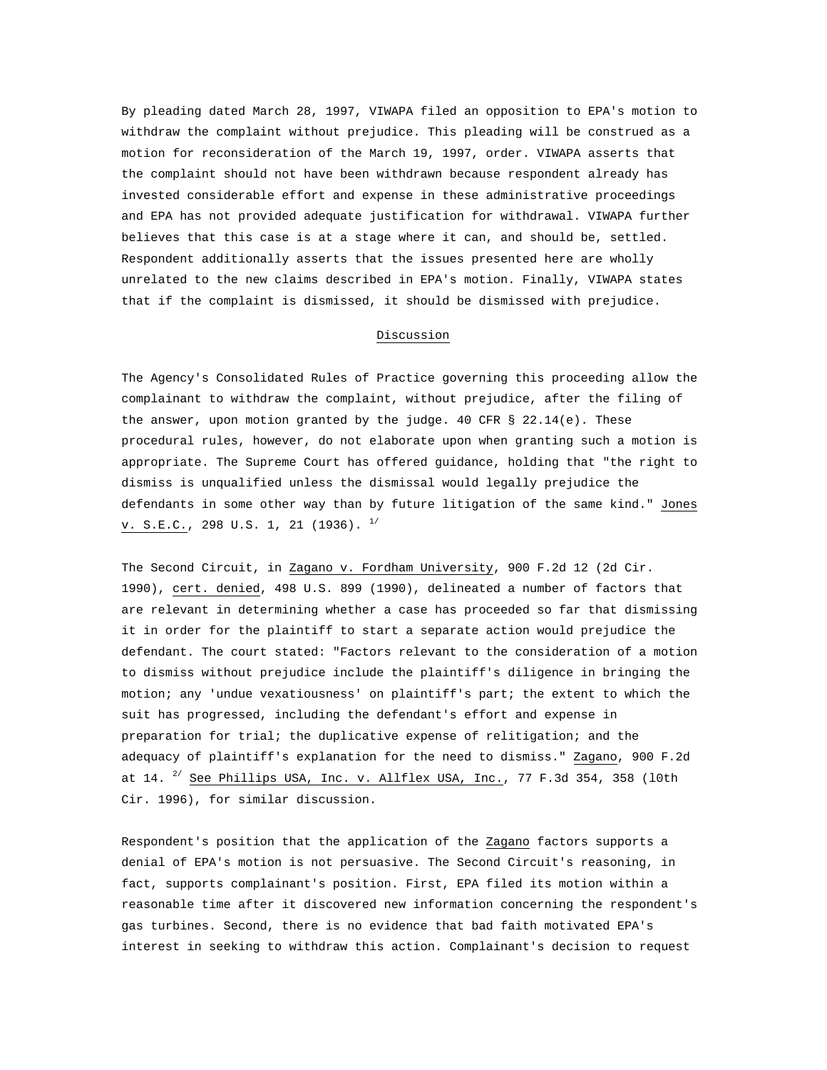By pleading dated March 28, 1997, VIWAPA filed an opposition to EPA's motion to withdraw the complaint without prejudice. This pleading will be construed as a motion for reconsideration of the March 19, 1997, order. VIWAPA asserts that the complaint should not have been withdrawn because respondent already has invested considerable effort and expense in these administrative proceedings and EPA has not provided adequate justification for withdrawal. VIWAPA further believes that this case is at a stage where it can, and should be, settled. Respondent additionally asserts that the issues presented here are wholly unrelated to the new claims described in EPA's motion. Finally, VIWAPA states that if the complaint is dismissed, it should be dismissed with prejudice.

#### Discussion

The Agency's Consolidated Rules of Practice governing this proceeding allow the complainant to withdraw the complaint, without prejudice, after the filing of the answer, upon motion granted by the judge. 40 CFR  $\S$  22.14(e). These procedural rules, however, do not elaborate upon when granting such a motion is appropriate. The Supreme Court has offered guidance, holding that "the right to dismiss is unqualified unless the dismissal would legally prejudice the defendants in some other way than by future litigation of the same kind." Jones v. S.E.C., 298 U.S. 1, 21 (1936).  $^{1/}$ 

The Second Circuit, in Zagano v. Fordham University, 900 F.2d 12 (2d Cir. 1990), cert. denied, 498 U.S. 899 (1990), delineated a number of factors that are relevant in determining whether a case has proceeded so far that dismissing it in order for the plaintiff to start a separate action would prejudice the defendant. The court stated: "Factors relevant to the consideration of a motion to dismiss without prejudice include the plaintiff's diligence in bringing the motion; any 'undue vexatiousness' on plaintiff's part; the extent to which the suit has progressed, including the defendant's effort and expense in preparation for trial; the duplicative expense of relitigation; and the adequacy of plaintiff's explanation for the need to dismiss." Zagano, 900 F.2d at 14.  $^{2/}$  See Phillips USA, Inc. v. Allflex USA, Inc., 77 F.3d 354, 358 (10th Cir. 1996), for similar discussion.

Respondent's position that the application of the Zagano factors supports a denial of EPA's motion is not persuasive. The Second Circuit's reasoning, in fact, supports complainant's position. First, EPA filed its motion within a reasonable time after it discovered new information concerning the respondent's gas turbines. Second, there is no evidence that bad faith motivated EPA's interest in seeking to withdraw this action. Complainant's decision to request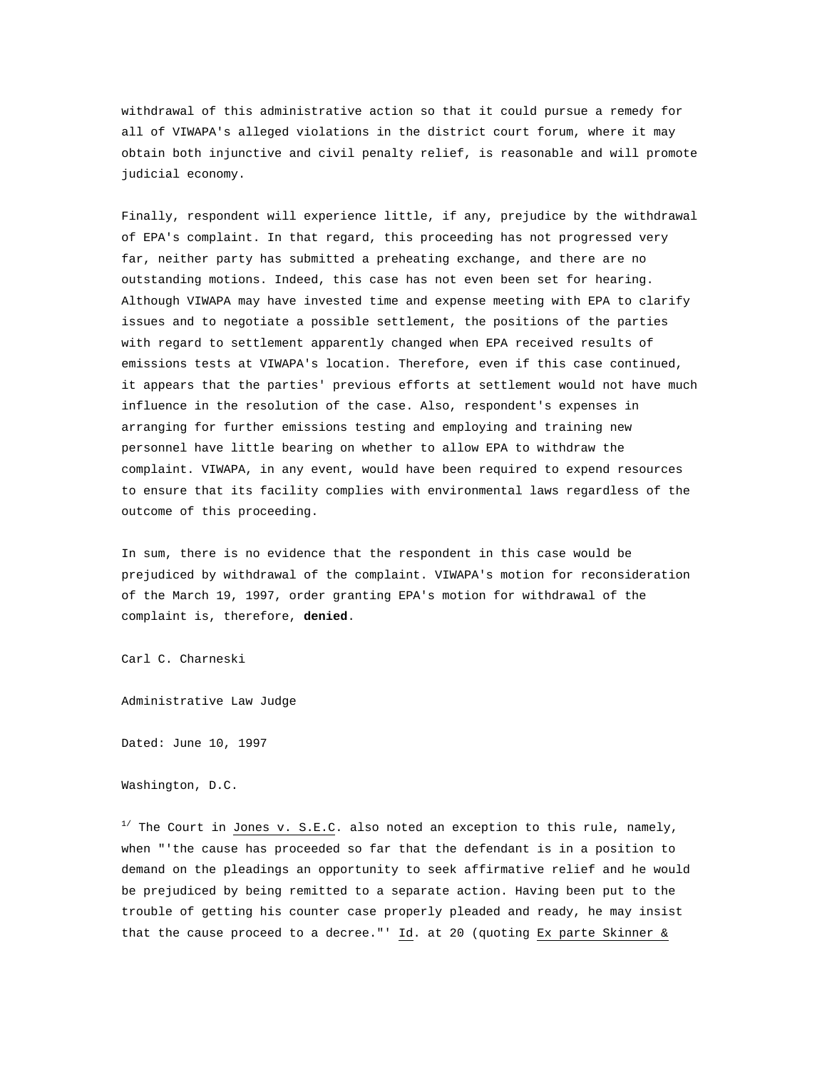withdrawal of this administrative action so that it could pursue a remedy for all of VIWAPA's alleged violations in the district court forum, where it may obtain both injunctive and civil penalty relief, is reasonable and will promote judicial economy.

Finally, respondent will experience little, if any, prejudice by the withdrawal of EPA's complaint. In that regard, this proceeding has not progressed very far, neither party has submitted a preheating exchange, and there are no outstanding motions. Indeed, this case has not even been set for hearing. Although VIWAPA may have invested time and expense meeting with EPA to clarify issues and to negotiate a possible settlement, the positions of the parties with regard to settlement apparently changed when EPA received results of emissions tests at VIWAPA's location. Therefore, even if this case continued, it appears that the parties' previous efforts at settlement would not have much influence in the resolution of the case. Also, respondent's expenses in arranging for further emissions testing and employing and training new personnel have little bearing on whether to allow EPA to withdraw the complaint. VIWAPA, in any event, would have been required to expend resources to ensure that its facility complies with environmental laws regardless of the outcome of this proceeding.

In sum, there is no evidence that the respondent in this case would be prejudiced by withdrawal of the complaint. VIWAPA's motion for reconsideration of the March 19, 1997, order granting EPA's motion for withdrawal of the complaint is, therefore, **denied**.

Carl C. Charneski

Administrative Law Judge

Dated: June 10, 1997

Washington, D.C.

<sup>1/</sup> The Court in Jones v. S.E.C. also noted an exception to this rule, namely, when "'the cause has proceeded so far that the defendant is in a position to demand on the pleadings an opportunity to seek affirmative relief and he would be prejudiced by being remitted to a separate action. Having been put to the trouble of getting his counter case properly pleaded and ready, he may insist that the cause proceed to a decree."' Id. at 20 (quoting Ex parte Skinner &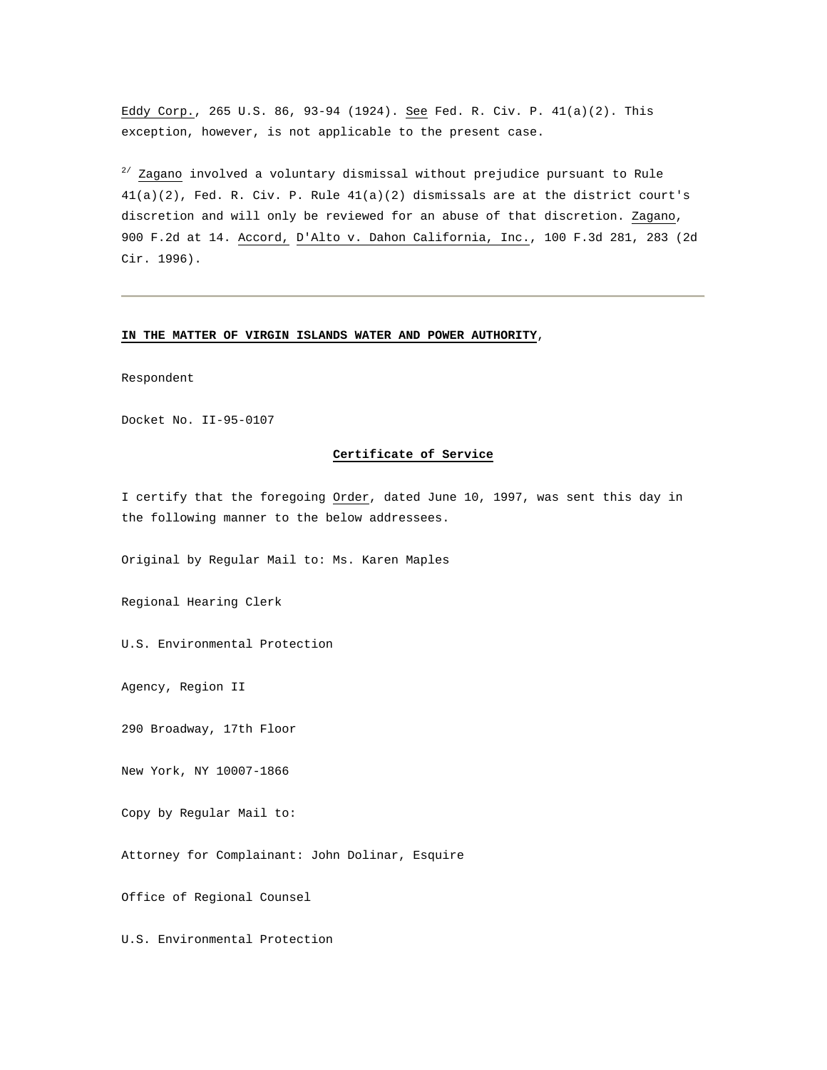Eddy Corp., 265 U.S. 86, 93-94 (1924). See Fed. R. Civ. P. 41(a)(2). This exception, however, is not applicable to the present case.

 $2^{2}$  Zagano involved a voluntary dismissal without prejudice pursuant to Rule  $41(a)(2)$ , Fed. R. Civ. P. Rule  $41(a)(2)$  dismissals are at the district court's discretion and will only be reviewed for an abuse of that discretion. Zagano, 900 F.2d at 14. Accord, D'Alto v. Dahon California, Inc., 100 F.3d 281, 283 (2d Cir. 1996).

#### **IN THE MATTER OF VIRGIN ISLANDS WATER AND POWER AUTHORITY**,

Respondent

Docket No. II-95-0107

### **Certificate of Service**

I certify that the foregoing Order, dated June 10, 1997, was sent this day in the following manner to the below addressees.

Original by Regular Mail to: Ms. Karen Maples

Regional Hearing Clerk

U.S. Environmental Protection

Agency, Region II

290 Broadway, 17th Floor

New York, NY 10007-1866

Copy by Regular Mail to:

Attorney for Complainant: John Dolinar, Esquire

Office of Regional Counsel

U.S. Environmental Protection